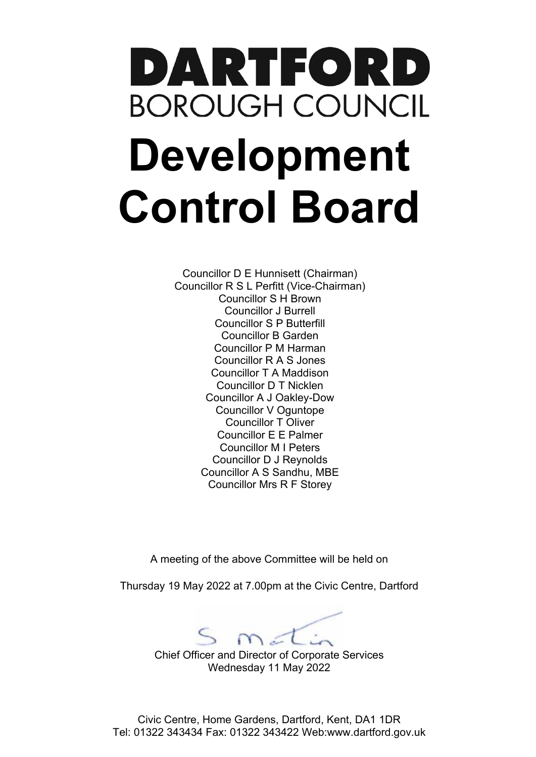# DARTFORD **BOROUGH COUNCIL Development Control Board**

Councillor D E Hunnisett (Chairman) Councillor R S L Perfitt (Vice-Chairman) Councillor S H Brown Councillor J Burrell Councillor S P Butterfill Councillor B Garden Councillor P M Harman Councillor R A S Jones Councillor T A Maddison Councillor D T Nicklen Councillor A J Oakley-Dow Councillor V Oguntope Councillor T Oliver Councillor E E Palmer Councillor M I Peters Councillor D J Reynolds Councillor A S Sandhu, MBE Councillor Mrs R F Storey

A meeting of the above Committee will be held on

Thursday 19 May 2022 at 7.00pm at the Civic Centre, Dartford

 $Sm<sub>et</sub>$ 

Chief Officer and Director of Corporate Services Wednesday 11 May 2022

Civic Centre, Home Gardens, Dartford, Kent, DA1 1DR Tel: 01322 343434 Fax: 01322 343422 Web:www.dartford.gov.uk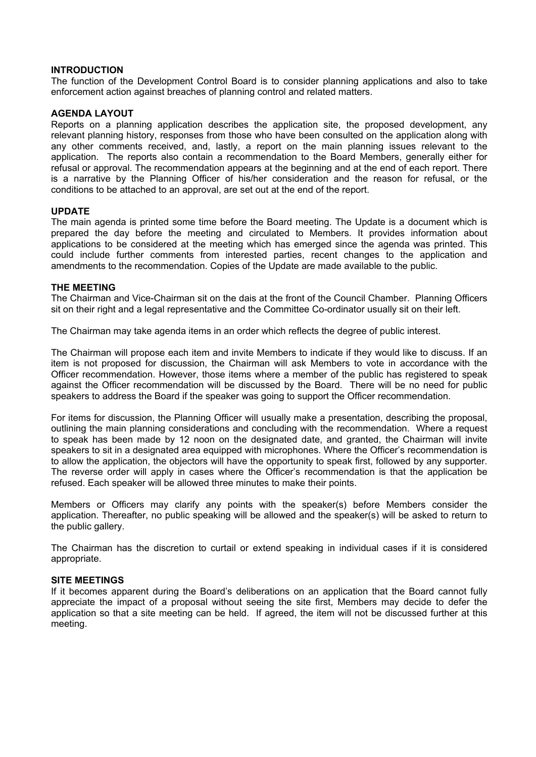#### **INTRODUCTION**

The function of the Development Control Board is to consider planning applications and also to take enforcement action against breaches of planning control and related matters.

#### **AGENDA LAYOUT**

Reports on a planning application describes the application site, the proposed development, any relevant planning history, responses from those who have been consulted on the application along with any other comments received, and, lastly, a report on the main planning issues relevant to the application. The reports also contain a recommendation to the Board Members, generally either for refusal or approval. The recommendation appears at the beginning and at the end of each report. There is a narrative by the Planning Officer of his/her consideration and the reason for refusal, or the conditions to be attached to an approval, are set out at the end of the report.

#### **UPDATE**

The main agenda is printed some time before the Board meeting. The Update is a document which is prepared the day before the meeting and circulated to Members. It provides information about applications to be considered at the meeting which has emerged since the agenda was printed. This could include further comments from interested parties, recent changes to the application and amendments to the recommendation. Copies of the Update are made available to the public.

#### **THE MEETING**

The Chairman and Vice-Chairman sit on the dais at the front of the Council Chamber. Planning Officers sit on their right and a legal representative and the Committee Co-ordinator usually sit on their left.

The Chairman may take agenda items in an order which reflects the degree of public interest.

The Chairman will propose each item and invite Members to indicate if they would like to discuss. If an item is not proposed for discussion, the Chairman will ask Members to vote in accordance with the Officer recommendation. However, those items where a member of the public has registered to speak against the Officer recommendation will be discussed by the Board. There will be no need for public speakers to address the Board if the speaker was going to support the Officer recommendation.

For items for discussion, the Planning Officer will usually make a presentation, describing the proposal, outlining the main planning considerations and concluding with the recommendation. Where a request to speak has been made by 12 noon on the designated date, and granted, the Chairman will invite speakers to sit in a designated area equipped with microphones. Where the Officer's recommendation is to allow the application, the objectors will have the opportunity to speak first, followed by any supporter. The reverse order will apply in cases where the Officer's recommendation is that the application be refused. Each speaker will be allowed three minutes to make their points.

Members or Officers may clarify any points with the speaker(s) before Members consider the application. Thereafter, no public speaking will be allowed and the speaker(s) will be asked to return to the public gallery.

The Chairman has the discretion to curtail or extend speaking in individual cases if it is considered appropriate.

#### **SITE MEETINGS**

If it becomes apparent during the Board's deliberations on an application that the Board cannot fully appreciate the impact of a proposal without seeing the site first, Members may decide to defer the application so that a site meeting can be held. If agreed, the item will not be discussed further at this meeting.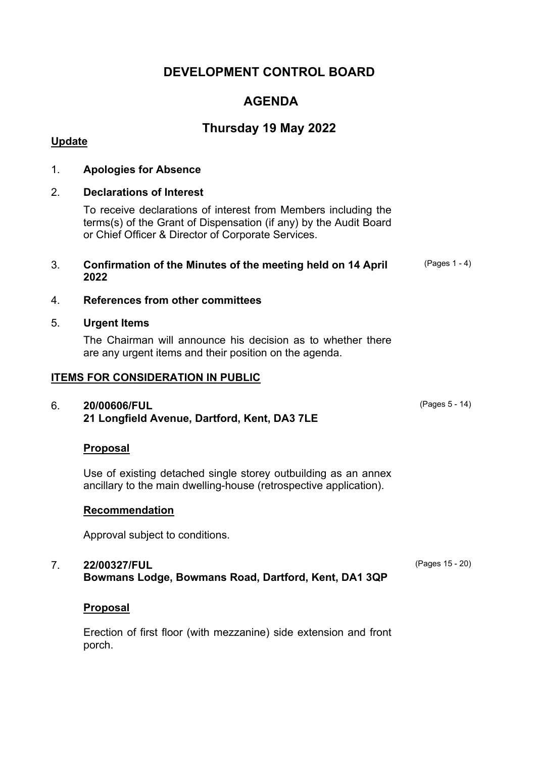# **DEVELOPMENT CONTROL BOARD**

# **AGENDA**

# **Thursday 19 May 2022**

# **Update**

## 1. **Apologies for Absence**

### 2. **Declarations of Interest**

To receive declarations of interest from Members including the terms(s) of the Grant of Dispensation (if any) by the Audit Board or Chief Officer & Director of Corporate Services.

#### 3. **Confirmation of the Minutes of the meeting held on 14 April 2022**

## 4. **References from other committees**

#### 5. **Urgent Items**

The Chairman will announce his decision as to whether there are any urgent items and their position on the agenda.

#### **ITEMS FOR CONSIDERATION IN PUBLIC**

### 6. **20/00606/FUL 21 Longfield Avenue, Dartford, Kent, DA3 7LE**

### **Proposal**

Use of existing detached single storey outbuilding as an annex ancillary to the main dwelling-house (retrospective application).

### **Recommendation**

Approval subject to conditions.

#### 7. **22/00327/FUL Bowmans Lodge, Bowmans Road, Dartford, Kent, DA1 3QP**

#### **Proposal**

Erection of first floor (with mezzanine) side extension and front porch.

(Pages 5 - 14)

(Pages 15 - 20)

(Pages 1 - 4)